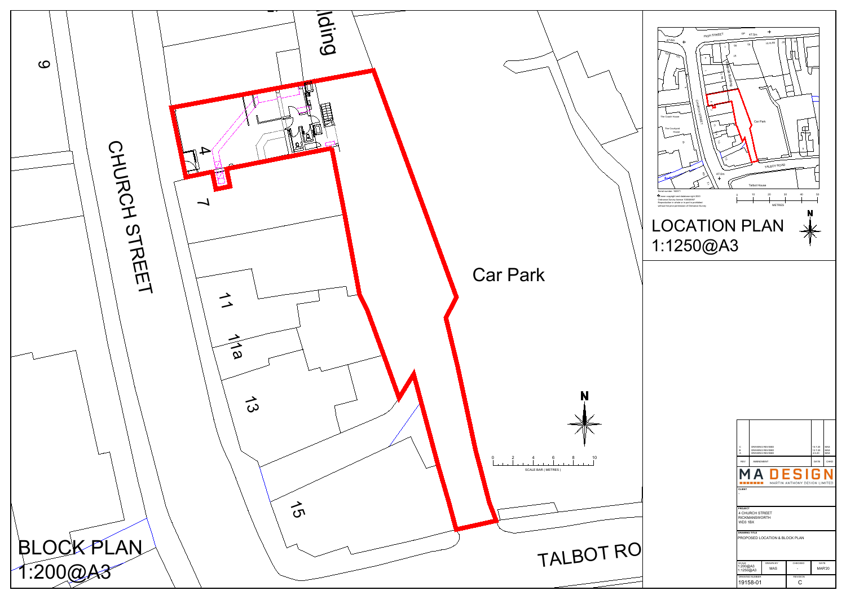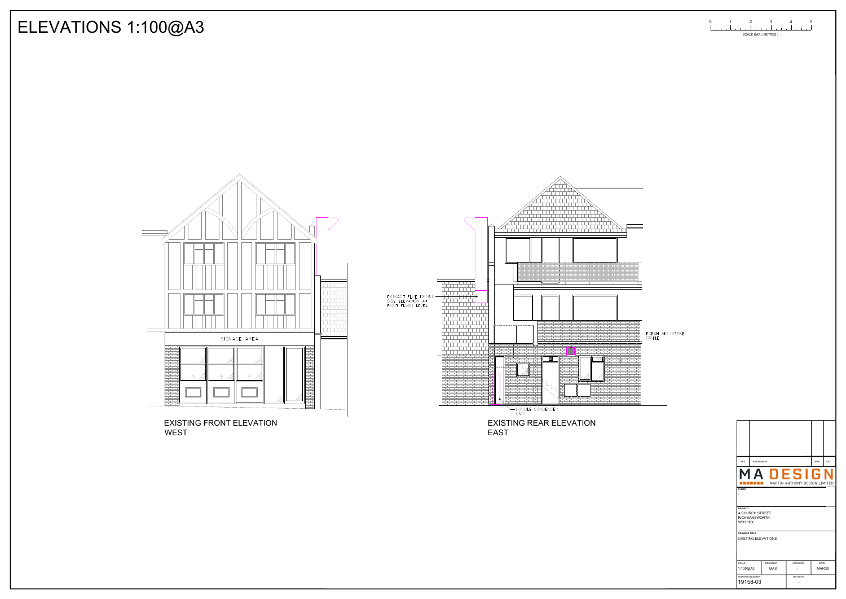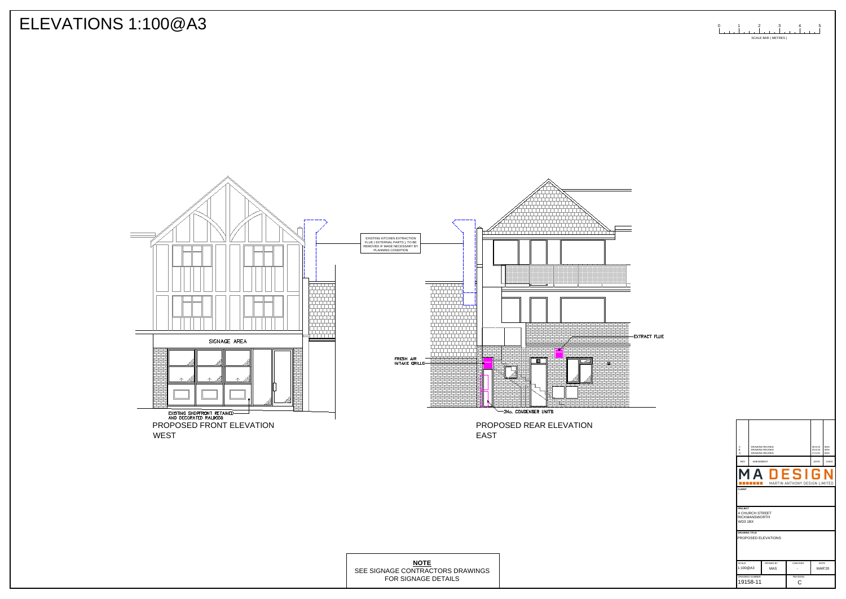

-EXTRACT FLUE

| <b>EAST</b>                                     | PROPOSED REAR ELEVATION |                                                        |                                                                           |                                 |                                                                                                                     |
|-------------------------------------------------|-------------------------|--------------------------------------------------------|---------------------------------------------------------------------------|---------------------------------|---------------------------------------------------------------------------------------------------------------------|
|                                                 |                         | REV                                                    | DRAWING REVISED<br>DRAWING REVISED<br><b>DRAWING REVISED</b><br>AMENDMENT |                                 | $\begin{array}{ l } 08.9.20 & \text{MAS} \\ 03.9.20 & \text{MAS} \\ 17.6.20 & \text{ MAS} \end{array}$<br>DATE CHKD |
|                                                 |                         | M<br><b>CLIENT</b>                                     | $\mathbf \Pi$<br>A<br><b>BEERE E</b> MARTIN ANTHONY DESIGN LIMITED        | <b>ESIGN</b>                    |                                                                                                                     |
|                                                 |                         | PROJECT<br>4 CHURCH STREET<br>RICKMANSWORTH<br>WD3 1BX |                                                                           |                                 |                                                                                                                     |
|                                                 |                         | <b>DRAWING TITLE</b>                                   | PROPOSED ELEVATIONS                                                       |                                 |                                                                                                                     |
| <b>NOTE</b><br><b>IAGE CONTRACTORS DRAWINGS</b> |                         | SCALE<br>1:100@A3                                      | DRAWN BY<br>MAS                                                           | CHECKED<br>$\sim$               | DATE<br>MAR'20                                                                                                      |
| FOR SIGNAGE DETAILS                             |                         | <b>DRAWING NUMBER</b><br>19158-11                      |                                                                           | <b>REVISION</b><br>$\mathsf{C}$ |                                                                                                                     |

| <b>NOTE</b>                      | SCAL           | <b>DRAWN B</b> |  |
|----------------------------------|----------------|----------------|--|
| SEE SIGNAGE CONTRACTORS DRAWINGS | 1:100@A3       | MAS            |  |
| FOR SIGNAGE DETAILS              | DRAWING NUMBER |                |  |
|                                  | 11015011       |                |  |

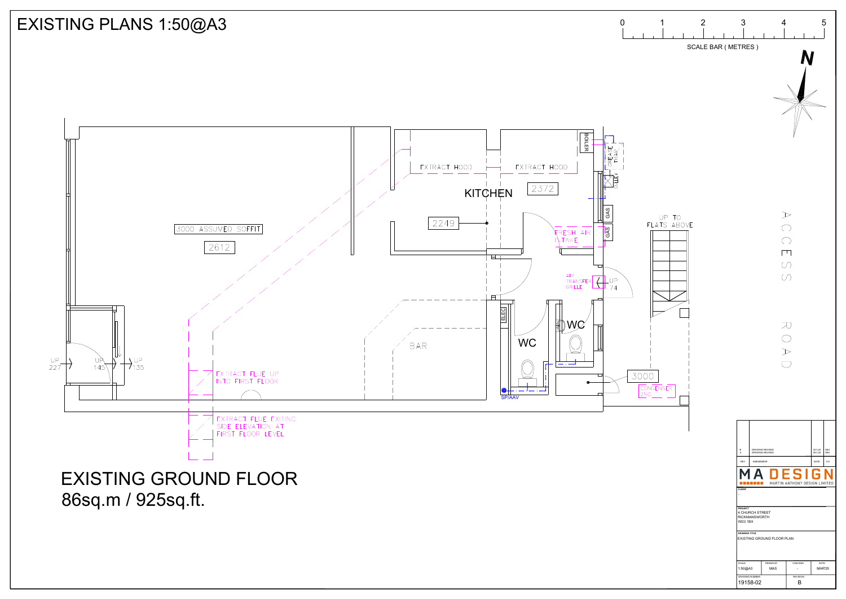

## EXISTING PLANS 1:50@A3